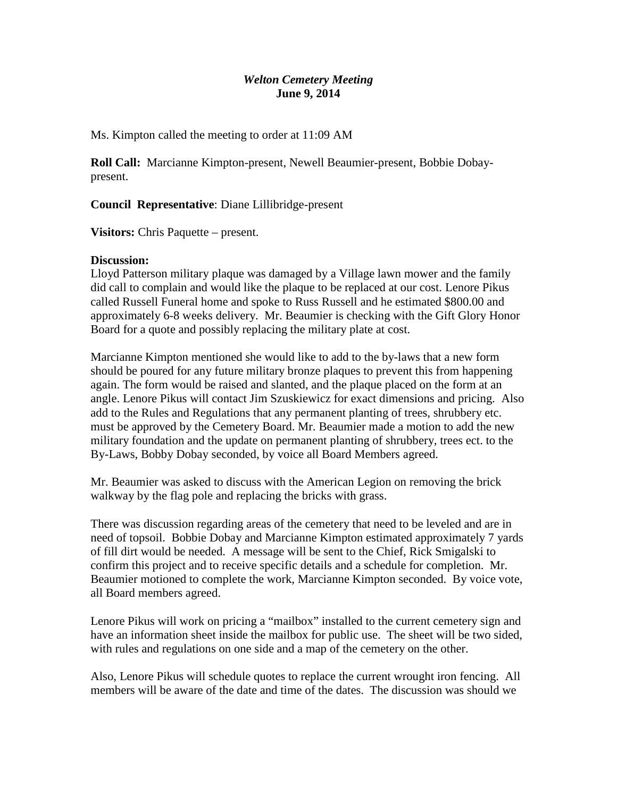# *Welton Cemetery Meeting* **June 9, 2014**

Ms. Kimpton called the meeting to order at 11:09 AM

**Roll Call:** Marcianne Kimpton-present, Newell Beaumier-present, Bobbie Dobaypresent.

**Council Representative**: Diane Lillibridge-present

**Visitors:** Chris Paquette – present.

## **Discussion:**

Lloyd Patterson military plaque was damaged by a Village lawn mower and the family did call to complain and would like the plaque to be replaced at our cost. Lenore Pikus called Russell Funeral home and spoke to Russ Russell and he estimated \$800.00 and approximately 6-8 weeks delivery. Mr. Beaumier is checking with the Gift Glory Honor Board for a quote and possibly replacing the military plate at cost.

Marcianne Kimpton mentioned she would like to add to the by-laws that a new form should be poured for any future military bronze plaques to prevent this from happening again. The form would be raised and slanted, and the plaque placed on the form at an angle. Lenore Pikus will contact Jim Szuskiewicz for exact dimensions and pricing. Also add to the Rules and Regulations that any permanent planting of trees, shrubbery etc. must be approved by the Cemetery Board. Mr. Beaumier made a motion to add the new military foundation and the update on permanent planting of shrubbery, trees ect. to the By-Laws, Bobby Dobay seconded, by voice all Board Members agreed.

Mr. Beaumier was asked to discuss with the American Legion on removing the brick walkway by the flag pole and replacing the bricks with grass.

There was discussion regarding areas of the cemetery that need to be leveled and are in need of topsoil. Bobbie Dobay and Marcianne Kimpton estimated approximately 7 yards of fill dirt would be needed. A message will be sent to the Chief, Rick Smigalski to confirm this project and to receive specific details and a schedule for completion. Mr. Beaumier motioned to complete the work, Marcianne Kimpton seconded. By voice vote, all Board members agreed.

Lenore Pikus will work on pricing a "mailbox" installed to the current cemetery sign and have an information sheet inside the mailbox for public use. The sheet will be two sided, with rules and regulations on one side and a map of the cemetery on the other.

Also, Lenore Pikus will schedule quotes to replace the current wrought iron fencing. All members will be aware of the date and time of the dates. The discussion was should we